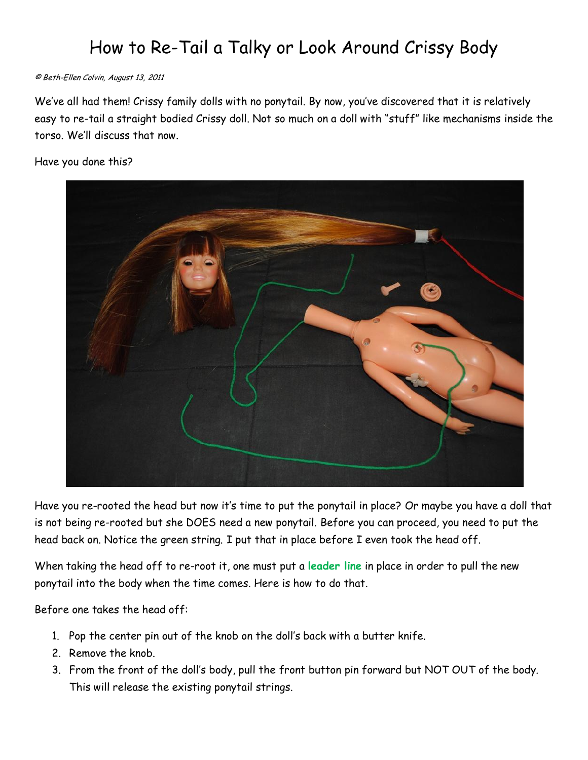## How to Re-Tail a Talky or Look Around Crissy Body

## © Beth-Ellen Colvin, August 13, 2011

We"ve all had them! Crissy family dolls with no ponytail. By now, you"ve discovered that it is relatively easy to re-tail a straight bodied Crissy doll. Not so much on a doll with "stuff" like mechanisms inside the torso. We"ll discuss that now.

## Have you done this?



Have you re-rooted the head but now it"s time to put the ponytail in place? Or maybe you have a doll that is not being re-rooted but she DOES need a new ponytail. Before you can proceed, you need to put the head back on. Notice the green string. I put that in place before I even took the head off.

When taking the head off to re-root it, one must put a **leader line** in place in order to pull the new ponytail into the body when the time comes. Here is how to do that.

Before one takes the head off:

- 1. Pop the center pin out of the knob on the doll"s back with a butter knife.
- 2. Remove the knob.
- 3. From the front of the doll"s body, pull the front button pin forward but NOT OUT of the body. This will release the existing ponytail strings.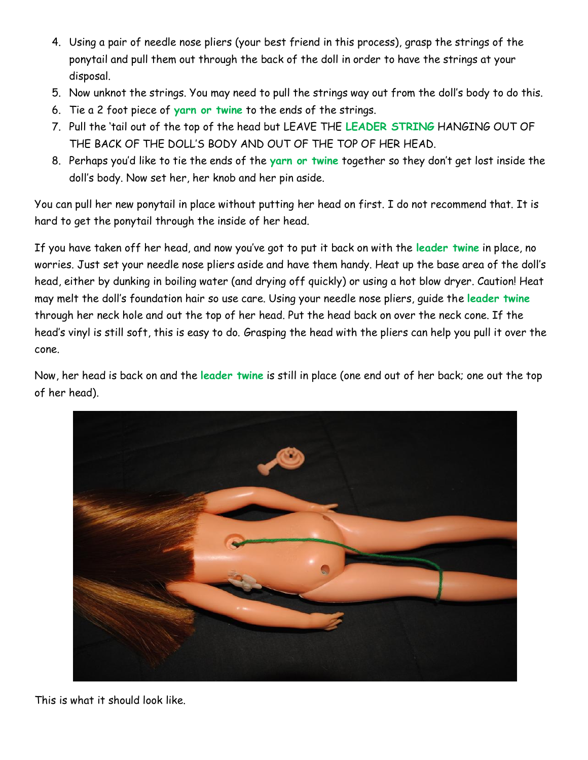- 4. Using a pair of needle nose pliers (your best friend in this process), grasp the strings of the ponytail and pull them out through the back of the doll in order to have the strings at your disposal.
- 5. Now unknot the strings. You may need to pull the strings way out from the doll"s body to do this.
- 6. Tie a 2 foot piece of **yarn or twine** to the ends of the strings.
- 7. Pull the "tail out of the top of the head but LEAVE THE **LEADER STRING** HANGING OUT OF THE BACK OF THE DOLL"S BODY AND OUT OF THE TOP OF HER HEAD.
- 8. Perhaps you"d like to tie the ends of the **yarn or twine** together so they don"t get lost inside the doll"s body. Now set her, her knob and her pin aside.

You can pull her new ponytail in place without putting her head on first. I do not recommend that. It is hard to get the ponytail through the inside of her head.

If you have taken off her head, and now you"ve got to put it back on with the **leader twine** in place, no worries. Just set your needle nose pliers aside and have them handy. Heat up the base area of the doll"s head, either by dunking in boiling water (and drying off quickly) or using a hot blow dryer. Caution! Heat may melt the doll"s foundation hair so use care. Using your needle nose pliers, guide the **leader twine** through her neck hole and out the top of her head. Put the head back on over the neck cone. If the head"s vinyl is still soft, this is easy to do. Grasping the head with the pliers can help you pull it over the cone.

Now, her head is back on and the **leader twine** is still in place (one end out of her back; one out the top of her head).



This is what it should look like.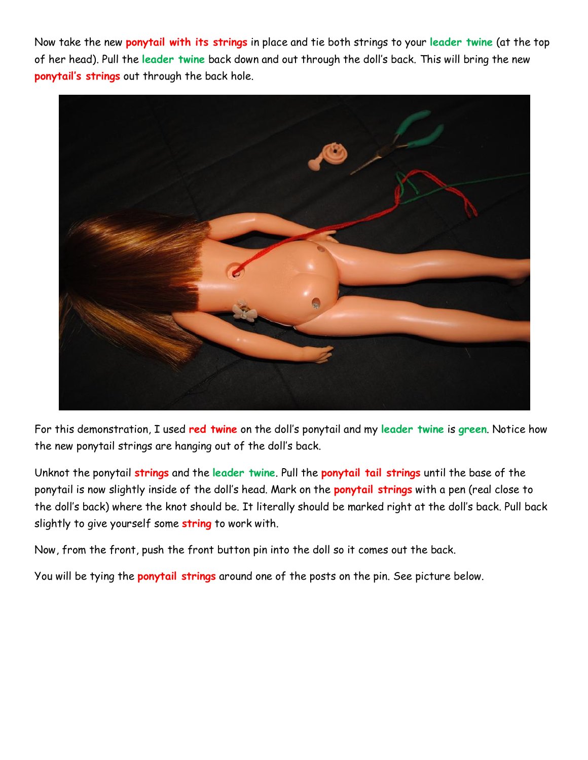Now take the new **ponytail with its strings** in place and tie both strings to your **leader twine** (at the top of her head). Pull the **leader twine** back down and out through the doll"s back. This will bring the new **ponytail's strings** out through the back hole.



For this demonstration, I used **red twine** on the doll"s ponytail and my **leader twine** is **green**. Notice how the new ponytail strings are hanging out of the doll"s back.

Unknot the ponytail **strings** and the **leader twine**. Pull the **ponytail tail strings** until the base of the ponytail is now slightly inside of the doll"s head. Mark on the **ponytail strings** with a pen (real close to the doll"s back) where the knot should be. It literally should be marked right at the doll"s back. Pull back slightly to give yourself some **string** to work with.

Now, from the front, push the front button pin into the doll so it comes out the back.

You will be tying the **ponytail strings** around one of the posts on the pin. See picture below.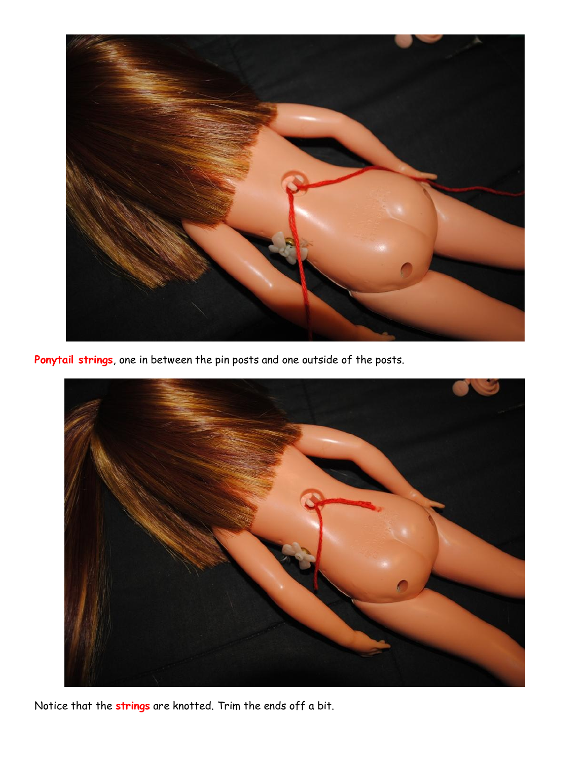

**Ponytail strings**, one in between the pin posts and one outside of the posts.



Notice that the **strings** are knotted. Trim the ends off a bit.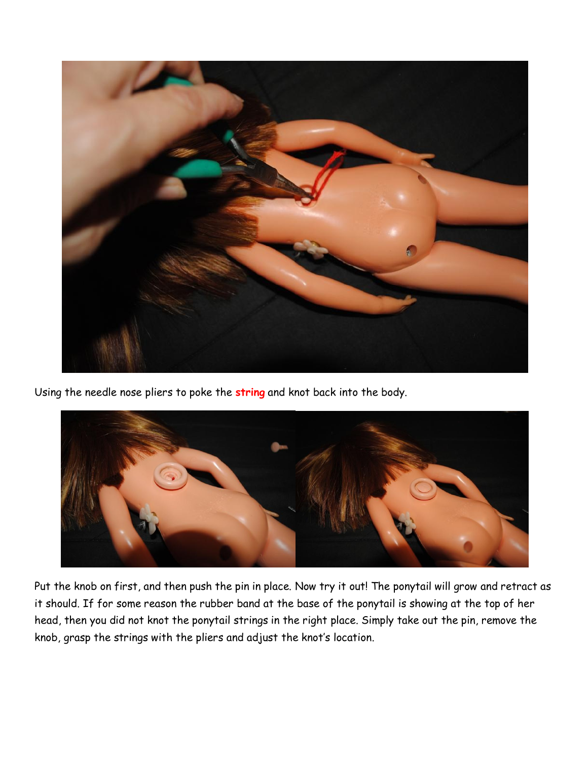

Using the needle nose pliers to poke the **string** and knot back into the body.



Put the knob on first, and then push the pin in place. Now try it out! The ponytail will grow and retract as it should. If for some reason the rubber band at the base of the ponytail is showing at the top of her head, then you did not knot the ponytail strings in the right place. Simply take out the pin, remove the knob, grasp the strings with the pliers and adjust the knot"s location.